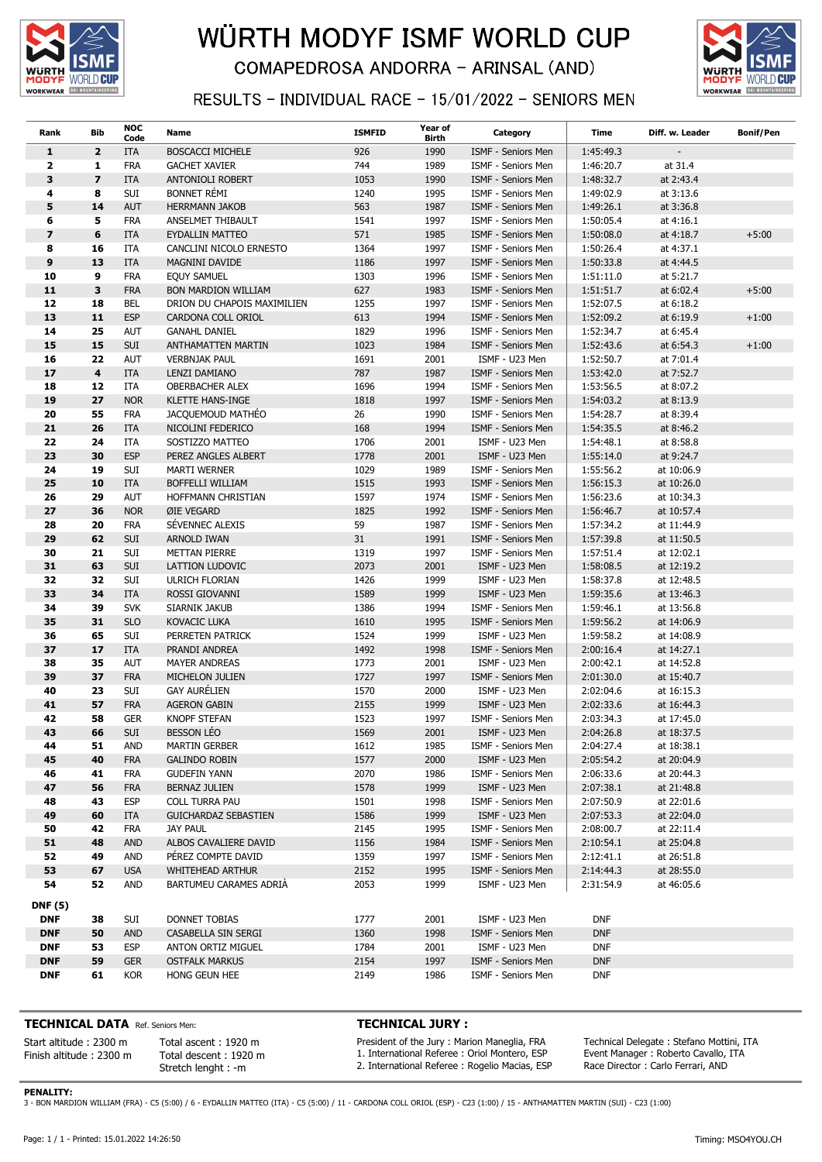

## WÜRTH MODYF ISMF WORLD CUP **COMAPEDROSA ANDORRA - ARINSAL (AND)**



### RESULTS - INDIVIDUAL RACE - 15/01/2022 - SENIORS MEN

| Rank                    | <b>Bib</b>              | <b>NOC</b><br>Code       | Name                                        | <b>ISMFID</b> | Year of<br>Birth | Category                                 | Time                   | Diff. w. Leader          | <b>Bonif/Pen</b> |
|-------------------------|-------------------------|--------------------------|---------------------------------------------|---------------|------------------|------------------------------------------|------------------------|--------------------------|------------------|
| $\mathbf{1}$            | $\overline{2}$          | <b>ITA</b>               | <b>BOSCACCI MICHELE</b>                     | 926           | 1990             | ISMF - Seniors Men                       | 1:45:49.3              |                          |                  |
| $\mathbf{2}$            | 1                       | <b>FRA</b>               | <b>GACHET XAVIER</b>                        | 744           | 1989             | ISMF - Seniors Men                       | 1:46:20.7              | at 31.4                  |                  |
| 3                       | $\overline{ }$          | <b>ITA</b>               | ANTONIOLI ROBERT                            | 1053          | 1990             | ISMF - Seniors Men                       | 1:48:32.7              | at 2:43.4                |                  |
| 4                       | 8                       | SUI                      | <b>BONNET RÉMI</b>                          | 1240          | 1995             | ISMF - Seniors Men                       | 1:49:02.9              | at 3:13.6                |                  |
| 5                       | 14                      | <b>AUT</b>               | <b>HERRMANN JAKOB</b>                       | 563           | 1987             | ISMF - Seniors Men                       | 1:49:26.1              | at 3:36.8                |                  |
| 6                       | 5                       | <b>FRA</b>               | ANSELMET THIBAULT                           | 1541          | 1997             | ISMF - Seniors Men                       | 1:50:05.4              | at 4:16.1                |                  |
| $\overline{\mathbf{z}}$ | 6                       | <b>ITA</b>               | <b>EYDALLIN MATTEO</b>                      | 571           | 1985             | ISMF - Seniors Men                       | 1:50:08.0              | at 4:18.7                | $+5:00$          |
| 8                       | 16                      | ITA                      | CANCLINI NICOLO ERNESTO                     | 1364          | 1997             | ISMF - Seniors Men                       | 1:50:26.4              | at 4:37.1                |                  |
| 9<br>10                 | 13<br>9                 | ITA                      | MAGNINI DAVIDE<br><b>EQUY SAMUEL</b>        | 1186<br>1303  | 1997             | ISMF - Seniors Men                       | 1:50:33.8              | at 4:44.5                |                  |
| 11                      | 3                       | <b>FRA</b><br><b>FRA</b> | <b>BON MARDION WILLIAM</b>                  | 627           | 1996<br>1983     | ISMF - Seniors Men<br>ISMF - Seniors Men | 1:51:11.0<br>1:51:51.7 | at 5:21.7<br>at 6:02.4   | $+5:00$          |
| 12                      | 18                      | BEL                      | DRION DU CHAPOIS MAXIMILIEN                 | 1255          | 1997             | ISMF - Seniors Men                       | 1:52:07.5              | at 6:18.2                |                  |
| 13                      | 11                      | <b>ESP</b>               | CARDONA COLL ORIOL                          | 613           | 1994             | <b>ISMF - Seniors Men</b>                | 1:52:09.2              | at 6:19.9                | $+1:00$          |
| 14                      | 25                      | <b>AUT</b>               | <b>GANAHL DANIEL</b>                        | 1829          | 1996             | ISMF - Seniors Men                       | 1:52:34.7              | at 6:45.4                |                  |
| 15                      | 15                      | <b>SUI</b>               | <b>ANTHAMATTEN MARTIN</b>                   | 1023          | 1984             | ISMF - Seniors Men                       | 1:52:43.6              | at 6:54.3                | $+1:00$          |
| 16                      | 22                      | AUT                      | <b>VERBNJAK PAUL</b>                        | 1691          | 2001             | ISMF - U23 Men                           | 1:52:50.7              | at 7:01.4                |                  |
| 17                      | $\overline{\mathbf{4}}$ | <b>ITA</b>               | LENZI DAMIANO                               | 787           | 1987             | ISMF - Seniors Men                       | 1:53:42.0              | at 7:52.7                |                  |
| 18                      | 12                      | ITA                      | <b>OBERBACHER ALEX</b>                      | 1696          | 1994             | ISMF - Seniors Men                       | 1:53:56.5              | at 8:07.2                |                  |
| 19                      | 27                      | <b>NOR</b>               | <b>KLETTE HANS-INGE</b>                     | 1818          | 1997             | ISMF - Seniors Men                       | 1:54:03.2              | at 8:13.9                |                  |
| 20                      | 55                      | <b>FRA</b>               | JACQUEMOUD MATHEO                           | 26            | 1990             | ISMF - Seniors Men                       | 1:54:28.7              | at 8:39.4                |                  |
| 21                      | 26                      | ITA                      | NICOLINI FEDERICO                           | 168           | 1994             | ISMF - Seniors Men                       | 1:54:35.5              | at 8:46.2                |                  |
| 22                      | 24                      | ITA                      | SOSTIZZO MATTEO                             | 1706          | 2001             | ISMF - U23 Men                           | 1:54:48.1              | at 8:58.8                |                  |
| 23                      | 30                      | <b>ESP</b>               | PEREZ ANGLES ALBERT                         | 1778          | 2001             | ISMF - U23 Men                           | 1:55:14.0              | at 9:24.7                |                  |
| 24                      | 19                      | SUI                      | <b>MARTI WERNER</b>                         | 1029          | 1989             | ISMF - Seniors Men                       | 1:55:56.2              | at 10:06.9               |                  |
| 25                      | 10                      | ITA                      | BOFFELLI WILLIAM                            | 1515          | 1993             | ISMF - Seniors Men                       | 1:56:15.3              | at 10:26.0               |                  |
| 26                      | 29                      | <b>AUT</b>               | HOFFMANN CHRISTIAN                          | 1597          | 1974             | ISMF - Seniors Men                       | 1:56:23.6              | at 10:34.3               |                  |
| 27                      | 36                      | <b>NOR</b>               | ØIE VEGARD                                  | 1825          | 1992             | ISMF - Seniors Men                       | 1:56:46.7              | at 10:57.4               |                  |
| 28                      | 20                      | <b>FRA</b>               | SÉVENNEC ALEXIS                             | 59            | 1987             | ISMF - Seniors Men                       | 1:57:34.2              | at 11:44.9               |                  |
| 29                      | 62                      | <b>SUI</b>               | ARNOLD IWAN                                 | 31            | 1991             | ISMF - Seniors Men                       | 1:57:39.8              | at 11:50.5               |                  |
| 30<br>31                | 21<br>63                | SUI                      | METTAN PIERRE                               | 1319<br>2073  | 1997             | ISMF - Seniors Men<br>ISMF - U23 Men     | 1:57:51.4              | at 12:02.1               |                  |
| 32                      | 32                      | <b>SUI</b><br>SUI        | LATTION LUDOVIC<br><b>ULRICH FLORIAN</b>    | 1426          | 2001<br>1999     | ISMF - U23 Men                           | 1:58:08.5<br>1:58:37.8 | at 12:19.2<br>at 12:48.5 |                  |
| 33                      | 34                      | ITA                      | ROSSI GIOVANNI                              | 1589          | 1999             | ISMF - U23 Men                           | 1:59:35.6              | at 13:46.3               |                  |
| 34                      | 39                      | <b>SVK</b>               | SIARNIK JAKUB                               | 1386          | 1994             | ISMF - Seniors Men                       | 1:59:46.1              | at 13:56.8               |                  |
| 35                      | 31                      | <b>SLO</b>               | KOVACIC LUKA                                | 1610          | 1995             | ISMF - Seniors Men                       | 1:59:56.2              | at 14:06.9               |                  |
| 36                      | 65                      | Sui                      | PERRETEN PATRICK                            | 1524          | 1999             | ISMF - U23 Men                           | 1:59:58.2              | at 14:08.9               |                  |
| 37                      | 17                      | <b>ITA</b>               | PRANDI ANDREA                               | 1492          | 1998             | ISMF - Seniors Men                       | 2:00:16.4              | at 14:27.1               |                  |
| 38                      | 35                      | AUT                      | <b>MAYER ANDREAS</b>                        | 1773          | 2001             | ISMF - U23 Men                           | 2:00:42.1              | at 14:52.8               |                  |
| 39                      | 37                      | <b>FRA</b>               | MICHELON JULIEN                             | 1727          | 1997             | ISMF - Seniors Men                       | 2:01:30.0              | at 15:40.7               |                  |
| 40                      | 23                      | SUI                      | <b>GAY AURÉLIEN</b>                         | 1570          | 2000             | ISMF - U23 Men                           | 2:02:04.6              | at 16:15.3               |                  |
| 41                      | 57                      | <b>FRA</b>               | <b>AGERON GABIN</b>                         | 2155          | 1999             | ISMF - U23 Men                           | 2:02:33.6              | at 16:44.3               |                  |
| 42                      | 58                      | <b>GER</b>               | <b>KNOPF STEFAN</b>                         | 1523          | 1997             | ISMF - Seniors Men                       | 2:03:34.3              | at 17:45.0               |                  |
| 43                      | 66                      | <b>SUI</b>               | <b>BESSON LÉO</b>                           | 1569          | 2001             | ISMF - U23 Men                           | 2:04:26.8              | at 18:37.5               |                  |
| 44<br>45                | 51<br>40                | <b>AND</b>               | <b>MARTIN GERBER</b>                        | 1612<br>1577  | 1985<br>2000     | ISMF - Seniors Men                       | 2:04:27.4<br>2:05:54.2 | at 18:38.1<br>at 20:04.9 |                  |
| 46                      | 41                      | <b>FRA</b><br><b>FRA</b> | <b>GALINDO ROBIN</b><br><b>GUDEFIN YANN</b> | 2070          | 1986             | ISMF - U23 Men<br>ISMF - Seniors Men     | 2:06:33.6              | at 20:44.3               |                  |
| 47                      | 56                      | <b>FRA</b>               | BERNAZ JULIEN                               | 1578          | 1999             | ISMF - U23 Men                           | 2:07:38.1              | at 21:48.8               |                  |
| 48                      | 43                      | <b>ESP</b>               | COLL TURRA PAU                              | 1501          | 1998             | ISMF - Seniors Men                       | 2:07:50.9              | at 22:01.6               |                  |
| 49                      | 60                      | ITA                      | <b>GUICHARDAZ SEBASTIEN</b>                 | 1586          | 1999             | ISMF - U23 Men                           | 2:07:53.3              | at 22:04.0               |                  |
| 50                      | 42                      | <b>FRA</b>               | <b>JAY PAUL</b>                             | 2145          | 1995             | ISMF - Seniors Men                       | 2:08:00.7              | at 22:11.4               |                  |
| 51                      | 48                      | <b>AND</b>               | ALBOS CAVALIERE DAVID                       | 1156          | 1984             | ISMF - Seniors Men                       | 2:10:54.1              | at 25:04.8               |                  |
| 52                      | 49                      | <b>AND</b>               | PEREZ COMPTE DAVID                          | 1359          | 1997             | ISMF - Seniors Men                       | 2:12:41.1              | at 26:51.8               |                  |
| 53                      | 67                      | <b>USA</b>               | <b>WHITEHEAD ARTHUR</b>                     | 2152          | 1995             | ISMF - Seniors Men                       | 2:14:44.3              | at 28:55.0               |                  |
| 54                      | 52                      | AND                      | BARTUMEU CARAMES ADRIA                      | 2053          | 1999             | ISMF - U23 Men                           | 2:31:54.9              | at 46:05.6               |                  |
| <b>DNF</b> (5)          |                         |                          |                                             |               |                  |                                          |                        |                          |                  |
| <b>DNF</b>              | 38                      | SUI                      | DONNET TOBIAS                               | 1777          | 2001             | ISMF - U23 Men                           | <b>DNF</b>             |                          |                  |
| <b>DNF</b>              | 50                      | <b>AND</b>               | CASABELLA SIN SERGI                         | 1360          | 1998             | ISMF - Seniors Men                       | <b>DNF</b>             |                          |                  |
| <b>DNF</b>              | 53                      | <b>ESP</b>               | ANTON ORTIZ MIGUEL                          | 1784          | 2001             | ISMF - U23 Men                           | <b>DNF</b>             |                          |                  |
| <b>DNF</b>              | 59                      | <b>GER</b>               | <b>OSTFALK MARKUS</b>                       | 2154          | 1997             | ISMF - Seniors Men                       | <b>DNF</b>             |                          |                  |
| <b>DNF</b>              | 61                      | <b>KOR</b>               | HONG GEUN HEE                               | 2149          | 1986             | ISMF - Seniors Men                       | <b>DNF</b>             |                          |                  |

#### TECHNICAL DATA Ref. Seniors Men:

Total ascent : 1920 m Total descent : 1920 m Stretch lenght : -m

Start altitude : 2300 m Finish altitude : 2300 m

#### TECHNICAL JURY :

President of the Jury : Marion Maneglia, FRA 1. International Referee : Oriol Montero, ESP 2. International Referee : Rogelio Macias, ESP

Technical Delegate : Stefano Mottini, ITA Event Manager : Roberto Cavallo, ITA Race Director : Carlo Ferrari, AND

PENALITY:

3 - BON MARDION WILLIAM (FRA) - C5 (5:00) / 6 - EYDALLIN MATTEO (ITA) - C5 (5:00) / 11 - CARDONA COLL ORIOL (ESP) - C23 (1:00) / 15 - ANTHAMATTEN MARTIN (SUI) - C23 (1:00)